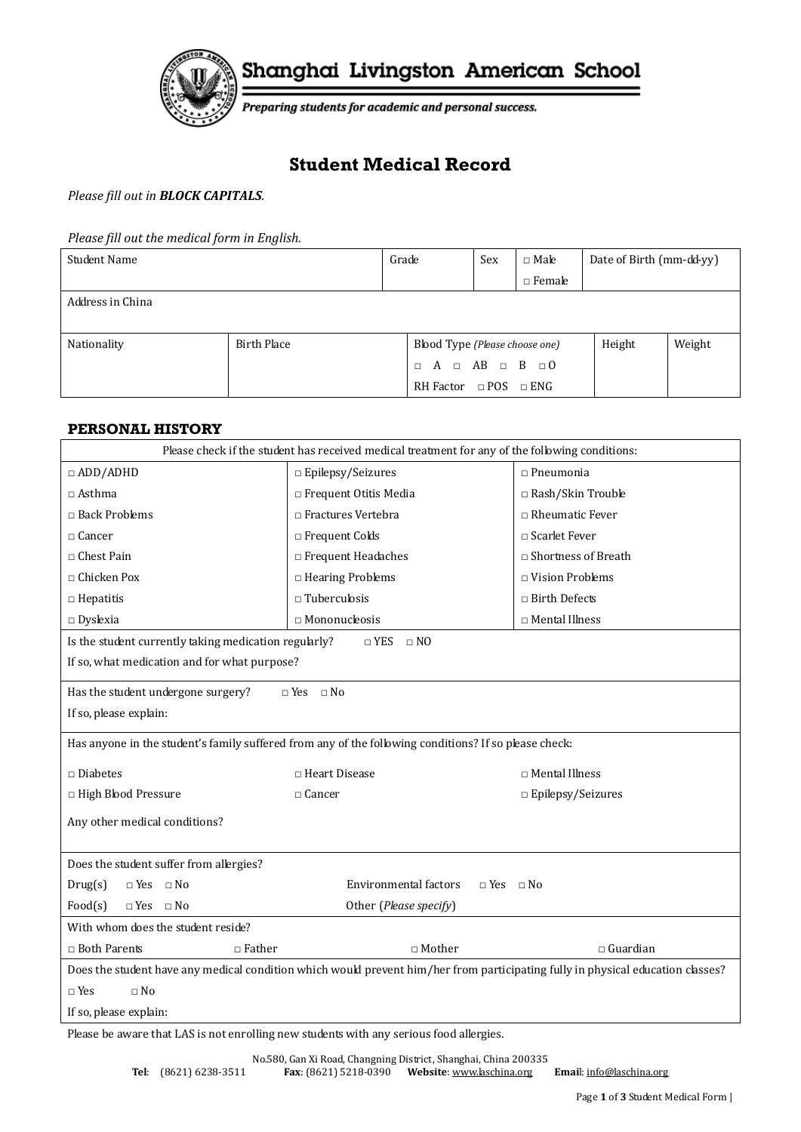

Shanghai Livingston American School

Preparing students for academic and personal success.

# **Student Medical Record**

## *Please fill out in BLOCK CAPITALS.*

*Please fill out the medical form in English.*

| Student Name     |                    | Grade                           | Sex | $\Box$ Male   | Date of Birth (mm-dd-yy) |        |
|------------------|--------------------|---------------------------------|-----|---------------|--------------------------|--------|
|                  |                    |                                 |     | $\Box$ Female |                          |        |
| Address in China |                    |                                 |     |               |                          |        |
|                  |                    |                                 |     |               |                          |        |
| Nationality      | <b>Birth Place</b> | Blood Type (Please choose one)  |     |               | Height                   | Weight |
|                  |                    | $\Box A \Box AB \Box B \Box 0$  |     |               |                          |        |
|                  |                    | RH Factor $\Box$ POS $\Box$ ENG |     |               |                          |        |

#### **PERSONAL HISTORY**

| Please check if the student has received medical treatment for any of the following conditions:                                 |                                                                                                       |                            |  |  |  |  |
|---------------------------------------------------------------------------------------------------------------------------------|-------------------------------------------------------------------------------------------------------|----------------------------|--|--|--|--|
| $\Box$ ADD/ADHD                                                                                                                 | $\Box$ Epilepsy/Seizures                                                                              | $\Box$ Pneumonia           |  |  |  |  |
| $\Box$ Asthma                                                                                                                   | $\Box$ Frequent Otitis Media                                                                          | $\Box$ Rash/Skin Trouble   |  |  |  |  |
| $\Box$ Back Problems                                                                                                            | □ Fractures Vertebra                                                                                  | $\Box$ Rheumatic Fever     |  |  |  |  |
| $\Box$ Cancer                                                                                                                   | □ Frequent Colds                                                                                      | □ Scarlet Fever            |  |  |  |  |
| $\Box$ Chest Pain                                                                                                               | $\Box$ Frequent Headaches                                                                             | $\Box$ Shortness of Breath |  |  |  |  |
| $\Box$ Chicken Pox                                                                                                              | □ Hearing Problems                                                                                    | $\Box$ Vision Problems     |  |  |  |  |
| $\Box$ Hepatitis                                                                                                                | $\Box$ Tuberculosis                                                                                   | □ Birth Defects            |  |  |  |  |
| $\Box$ Dyslexia                                                                                                                 | $\Box$ Mononucleosis                                                                                  | $\Box$ Mental Illness      |  |  |  |  |
| Is the student currently taking medication regularly?                                                                           | $\Box$ YES $\Box$ NO                                                                                  |                            |  |  |  |  |
| If so, what medication and for what purpose?                                                                                    |                                                                                                       |                            |  |  |  |  |
| Has the student undergone surgery?                                                                                              | $\Box$ Yes $\Box$ No                                                                                  |                            |  |  |  |  |
| If so, please explain:                                                                                                          |                                                                                                       |                            |  |  |  |  |
|                                                                                                                                 | Has anyone in the student's family suffered from any of the following conditions? If so please check: |                            |  |  |  |  |
| $\square$ Diabetes                                                                                                              | □ Heart Disease                                                                                       | □ Mental Illness           |  |  |  |  |
| □ High Blood Pressure                                                                                                           | $\Box$ Cancer                                                                                         | $\Box$ Epilepsy/Seizures   |  |  |  |  |
| Any other medical conditions?                                                                                                   |                                                                                                       |                            |  |  |  |  |
|                                                                                                                                 |                                                                                                       |                            |  |  |  |  |
| Does the student suffer from allergies?                                                                                         |                                                                                                       |                            |  |  |  |  |
| $\Box$ Yes $\Box$ No<br>Drug(s)                                                                                                 | Environmental factors<br>$\Box$ Yes $\Box$ No                                                         |                            |  |  |  |  |
| Food(s)<br>$\Box$ Yes $\Box$ No                                                                                                 | Other (Please specify)                                                                                |                            |  |  |  |  |
| With whom does the student reside?                                                                                              |                                                                                                       |                            |  |  |  |  |
| $\Box$ Both Parents<br>$\Box$ Father                                                                                            | $\Box$ Guardian<br>$\Box$ Mother                                                                      |                            |  |  |  |  |
| Does the student have any medical condition which would prevent him/her from participating fully in physical education classes? |                                                                                                       |                            |  |  |  |  |
| $\sqcap$ Yes<br>$\Box$ No                                                                                                       |                                                                                                       |                            |  |  |  |  |
| If so, please explain:                                                                                                          |                                                                                                       |                            |  |  |  |  |

Please be aware that LAS is not enrolling new students with any serious food allergies.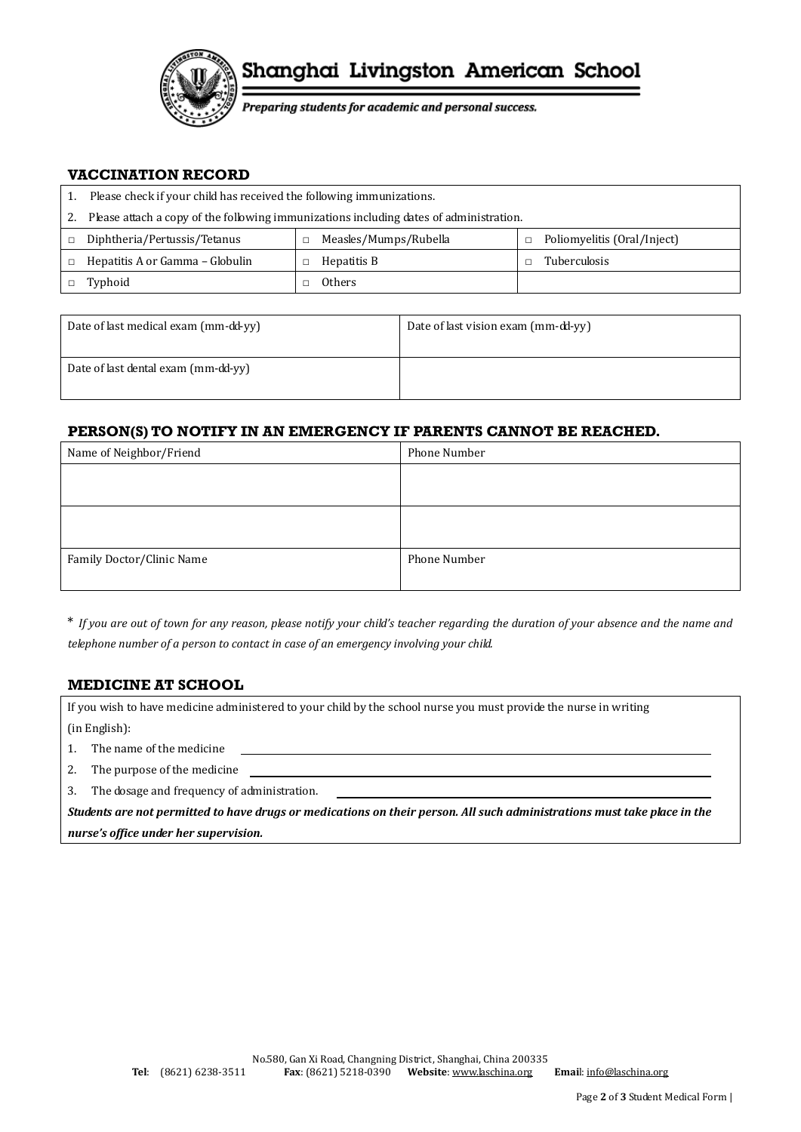

Preparing students for academic and personal success.

#### **VACCINATION RECORD**

|        | Please check if your child has received the following immunizations.                   |  |                       |  |                             |
|--------|----------------------------------------------------------------------------------------|--|-----------------------|--|-----------------------------|
| 2.     | Please attach a copy of the following immunizations including dates of administration. |  |                       |  |                             |
| $\Box$ | Diphtheria/Pertussis/Tetanus                                                           |  | Measles/Mumps/Rubella |  | Poliomyelitis (Oral/Inject) |
|        | Hepatitis A or Gamma - Globulin                                                        |  | Hepatitis B           |  | <b>Tuberculosis</b>         |
|        | Typhoid                                                                                |  | <b>Others</b>         |  |                             |

| Date of last medical exam (mm-dd-yy) | Date of last vision exam (mm-dd-yy) |
|--------------------------------------|-------------------------------------|
| Date of last dental exam (mm-dd-yy)  |                                     |

### **PERSON(S) TO NOTIFY IN AN EMERGENCY IF PARENTS CANNOT BE REACHED.**

| Name of Neighbor/Friend   | Phone Number |
|---------------------------|--------------|
|                           |              |
|                           |              |
|                           |              |
|                           |              |
| Family Doctor/Clinic Name | Phone Number |
|                           |              |

\* *If you are out of town for any reason, please notify your child's teacher regarding the duration of your absence and the name and telephone number of a person to contact in case of an emergency involving your child.*

## **MEDICINE AT SCHOOL**

If you wish to have medicine administered to your child by the school nurse you must provide the nurse in writing (in English):

1. The name of the medicine

- 2. The purpose of the medicine
- 3. The dosage and frequency of administration.

*Students are not permitted to have drugs or medications on their person. All such administrations must take place in the nurse's office under her supervision.*